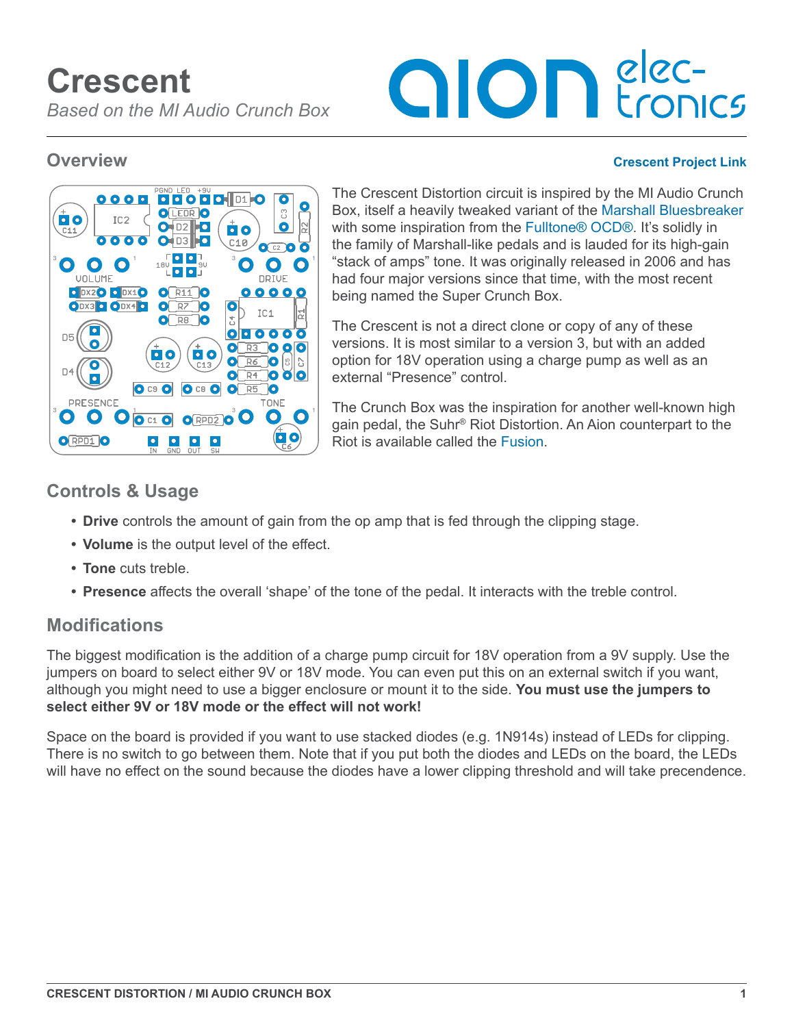# **alon** elec-

#### **Overview [Crescent Project Link](https://aionelectronics.com/project/crescent-crunch-box-distortion/)**



The Crescent Distortion circuit is inspired by the MI Audio Crunch Box, itself a heavily tweaked variant of the [Marshall Bluesbreaker](https://aionelectronics.com/project/cerulean-bluesbreaker-overdrive/) with some inspiration from the [Fulltone® OCD®](https://aionelectronics.com/project/titan-modified-voodoo-lab-overdrive/). It's solidly in the family of Marshall-like pedals and is lauded for its high-gain "stack of amps" tone. It was originally released in 2006 and has had four major versions since that time, with the most recent being named the Super Crunch Box.

The Crescent is not a direct clone or copy of any of these versions. It is most similar to a version 3, but with an added option for 18V operation using a charge pump as well as an external "Presence" control.

The Crunch Box was the inspiration for another well-known high gain pedal, the Suhr® Riot Distortion. An Aion counterpart to the Riot is available called the [Fusion](https://aionelectronics.com/project/fusion-riot-distortion/).

# **Controls & Usage**

- **Drive** controls the amount of gain from the op amp that is fed through the clipping stage.
- **• Volume** is the output level of the effect.
- **• Tone** cuts treble.
- **• Presence** affects the overall 'shape' of the tone of the pedal. It interacts with the treble control.

# **Modifications**

The biggest modification is the addition of a charge pump circuit for 18V operation from a 9V supply. Use the jumpers on board to select either 9V or 18V mode. You can even put this on an external switch if you want, although you might need to use a bigger enclosure or mount it to the side. **You must use the jumpers to select either 9V or 18V mode or the effect will not work!**

Space on the board is provided if you want to use stacked diodes (e.g. 1N914s) instead of LEDs for clipping. There is no switch to go between them. Note that if you put both the diodes and LEDs on the board, the LEDs will have no effect on the sound because the diodes have a lower clipping threshold and will take precendence.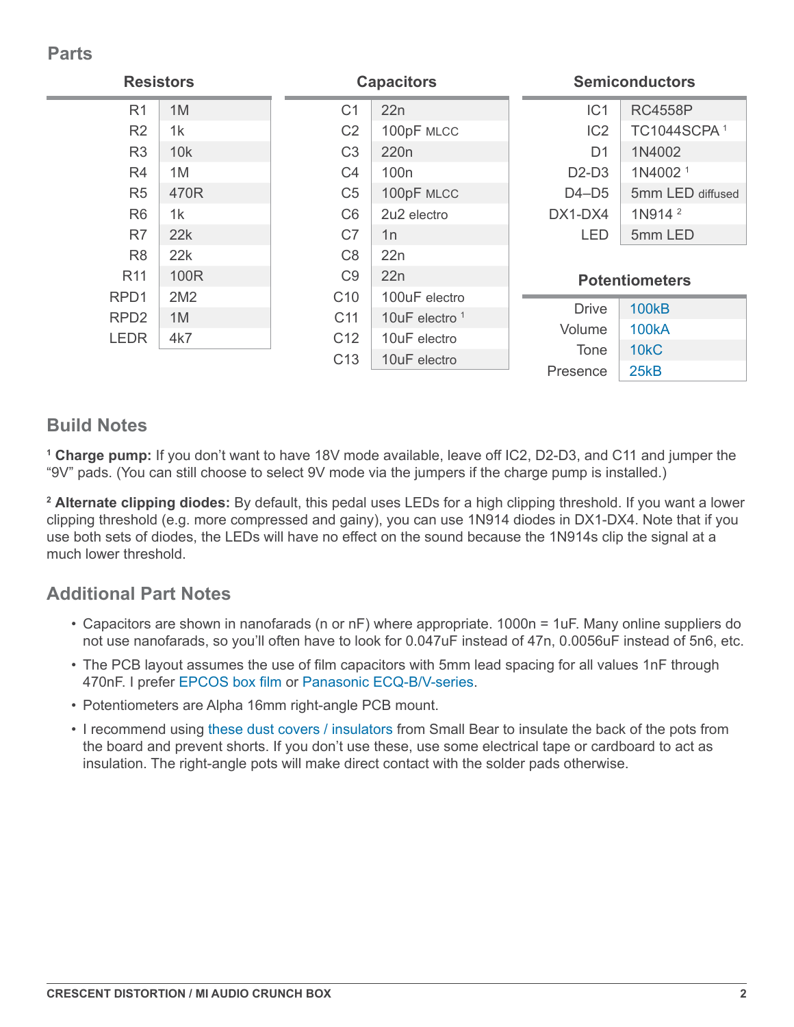## **Parts**

| <b>Resistors</b> |      | <b>Capacitors</b> |                           | <b>Semiconductors</b> |                         |
|------------------|------|-------------------|---------------------------|-----------------------|-------------------------|
| R <sub>1</sub>   | 1M   | C <sub>1</sub>    | 22n                       | IC1                   | <b>RC4558P</b>          |
| R <sub>2</sub>   | 1k   | C <sub>2</sub>    | 100pF MLCC                | IC <sub>2</sub>       | TC1044SCPA <sup>1</sup> |
| R <sub>3</sub>   | 10k  | C <sub>3</sub>    | 220 <sub>n</sub>          | D <sub>1</sub>        | 1N4002                  |
| R <sub>4</sub>   | 1M   | C <sub>4</sub>    | 100 <sub>n</sub>          | $D2-D3$               | 1N4002 <sup>1</sup>     |
| R <sub>5</sub>   | 470R | C <sub>5</sub>    | 100pF MLCC                | $D4-D5$               | 5mm LED diffused        |
| R <sub>6</sub>   | 1k   | C <sub>6</sub>    | 2u2 electro               | DX1-DX4               | 1N914 <sup>2</sup>      |
| R7               | 22k  | C <sub>7</sub>    | 1n                        | <b>LED</b>            | 5mm LED                 |
| R <sub>8</sub>   | 22k  | C <sub>8</sub>    | 22n                       |                       |                         |
| R <sub>11</sub>  | 100R | C <sub>9</sub>    | 22n                       | <b>Potentiometers</b> |                         |
| RPD <sub>1</sub> | 2M2  | C <sub>10</sub>   | 100uF electro             |                       |                         |
| RPD <sub>2</sub> | 1M   | C <sub>11</sub>   | 10uF electro <sup>1</sup> | <b>Drive</b>          | <b>100kB</b>            |
| <b>LEDR</b>      | 4k7  | C <sub>12</sub>   | 10uF electro              | Volume                | <b>100kA</b>            |
|                  |      | C <sub>13</sub>   | 10uF electro              | <b>Tone</b>           | <b>10kC</b>             |
|                  |      |                   |                           | Presence              | 25kB                    |

#### **Build Notes**

**<sup>1</sup> Charge pump:** If you don't want to have 18V mode available, leave off IC2, D2-D3, and C11 and jumper the "9V" pads. (You can still choose to select 9V mode via the jumpers if the charge pump is installed.)

**<sup>2</sup> Alternate clipping diodes:** By default, this pedal uses LEDs for a high clipping threshold. If you want a lower clipping threshold (e.g. more compressed and gainy), you can use 1N914 diodes in DX1-DX4. Note that if you use both sets of diodes, the LEDs will have no effect on the sound because the 1N914s clip the signal at a much lower threshold.

# **Additional Part Notes**

- Capacitors are shown in nanofarads (n or nF) where appropriate. 1000n = 1uF. Many online suppliers do not use nanofarads, so you'll often have to look for 0.047uF instead of 47n, 0.0056uF instead of 5n6, etc.
- The PCB layout assumes the use of film capacitors with 5mm lead spacing for all values 1nF through 470nF. I prefer [EPCOS box film](https://aionelectronics.com/link/epcos-box-film/) or [Panasonic ECQ-B/V-series](https://aionelectronics.com/link/panasonic-film/).
- Potentiometers are Alpha 16mm right-angle PCB mount.
- I recommend using [these dust covers / insulators](https://aionelectronics.com/link/16mm-dust-covers/) from Small Bear to insulate the back of the pots from the board and prevent shorts. If you don't use these, use some electrical tape or cardboard to act as insulation. The right-angle pots will make direct contact with the solder pads otherwise.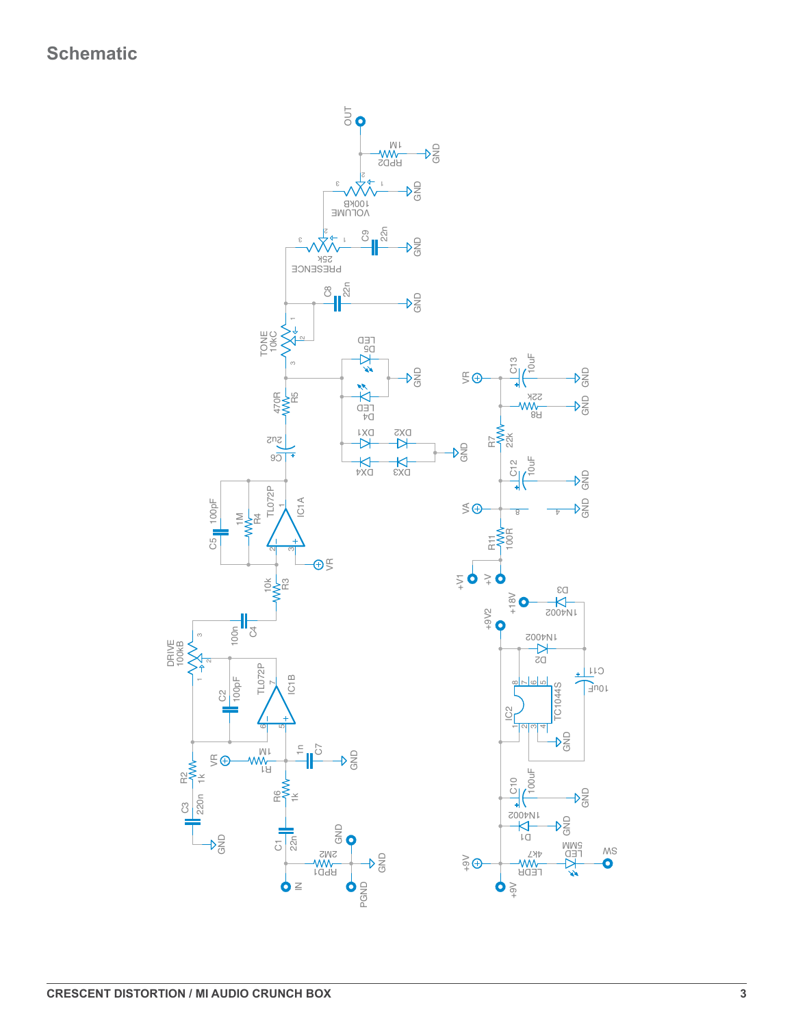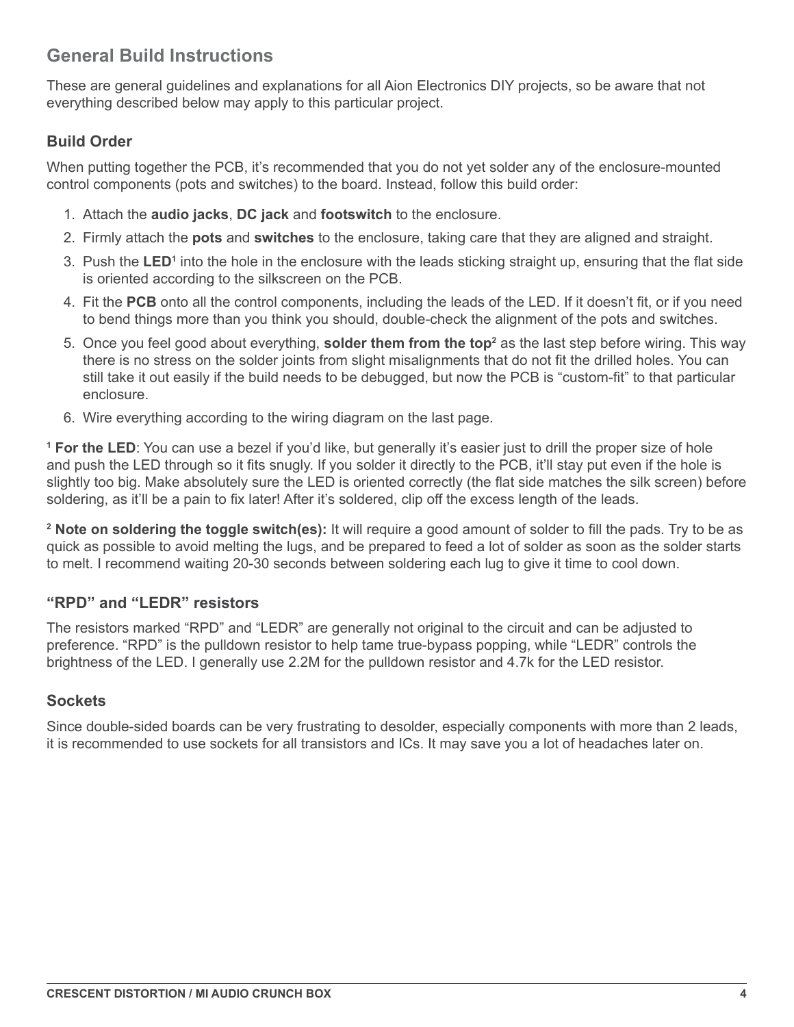# **General Build Instructions**

These are general guidelines and explanations for all Aion Electronics DIY projects, so be aware that not everything described below may apply to this particular project.

#### **Build Order**

When putting together the PCB, it's recommended that you do not yet solder any of the enclosure-mounted control components (pots and switches) to the board. Instead, follow this build order:

- 1. Attach the **audio jacks**, **DC jack** and **footswitch** to the enclosure.
- 2. Firmly attach the **pots** and **switches** to the enclosure, taking care that they are aligned and straight.
- 3. Push the LED<sup>1</sup> into the hole in the enclosure with the leads sticking straight up, ensuring that the flat side is oriented according to the silkscreen on the PCB.
- 4. Fit the **PCB** onto all the control components, including the leads of the LED. If it doesn't fit, or if you need to bend things more than you think you should, double-check the alignment of the pots and switches.
- 5. Once you feel good about everything, **solder them from the top**<sup>2</sup> as the last step before wiring. This way there is no stress on the solder joints from slight misalignments that do not fit the drilled holes. You can still take it out easily if the build needs to be debugged, but now the PCB is "custom-fit" to that particular enclosure.
- 6. Wire everything according to the wiring diagram on the last page.

**1 For the LED**: You can use a bezel if you'd like, but generally it's easier just to drill the proper size of hole and push the LED through so it fits snugly. If you solder it directly to the PCB, it'll stay put even if the hole is slightly too big. Make absolutely sure the LED is oriented correctly (the flat side matches the silk screen) before soldering, as it'll be a pain to fix later! After it's soldered, clip off the excess length of the leads.

**2 Note on soldering the toggle switch(es):** It will require a good amount of solder to fill the pads. Try to be as quick as possible to avoid melting the lugs, and be prepared to feed a lot of solder as soon as the solder starts to melt. I recommend waiting 20-30 seconds between soldering each lug to give it time to cool down.

#### **"RPD" and "LEDR" resistors**

The resistors marked "RPD" and "LEDR" are generally not original to the circuit and can be adjusted to preference. "RPD" is the pulldown resistor to help tame true-bypass popping, while "LEDR" controls the brightness of the LED. I generally use 2.2M for the pulldown resistor and 4.7k for the LED resistor.

#### **Sockets**

Since double-sided boards can be very frustrating to desolder, especially components with more than 2 leads, it is recommended to use sockets for all transistors and ICs. It may save you a lot of headaches later on.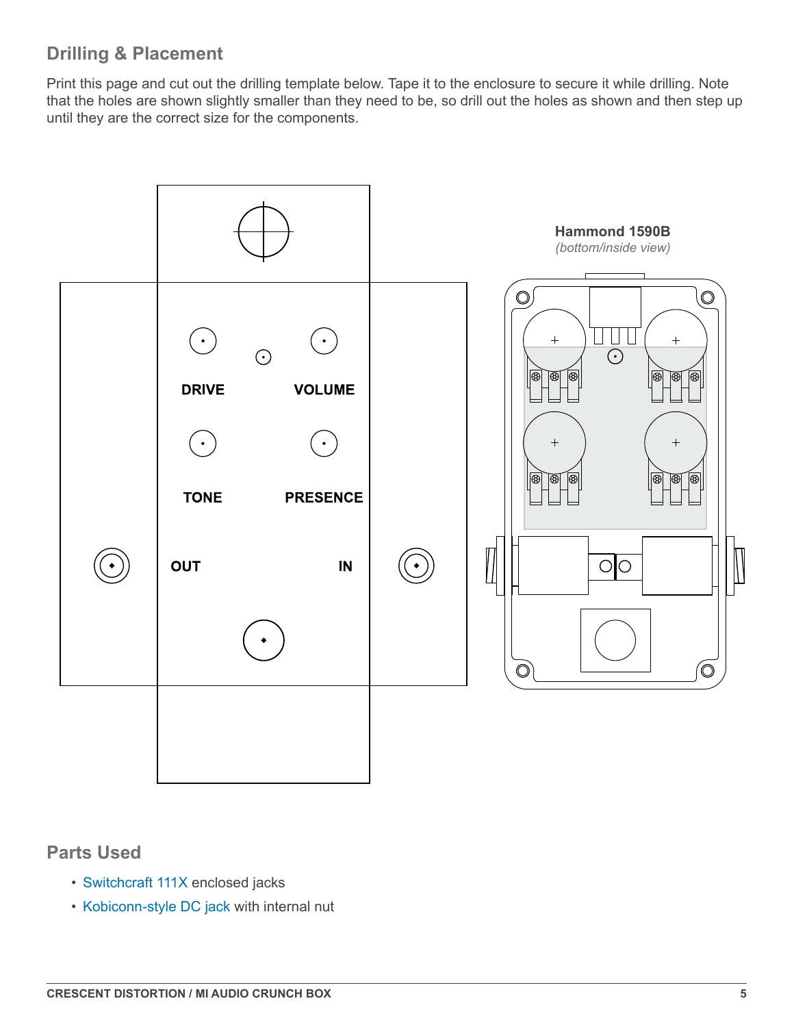# **Drilling & Placement**

Print this page and cut out the drilling template below. Tape it to the enclosure to secure it while drilling. Note that the holes are shown slightly smaller than they need to be, so drill out the holes as shown and then step up until they are the correct size for the components.



### **Parts Used**

- [Switchcraft 111X](https://aionelectronics.com/link/switchcraft-111/) enclosed jacks
- [Kobiconn-style DC jack](https://aionelectronics.com/link/dc-jack/) with internal nut